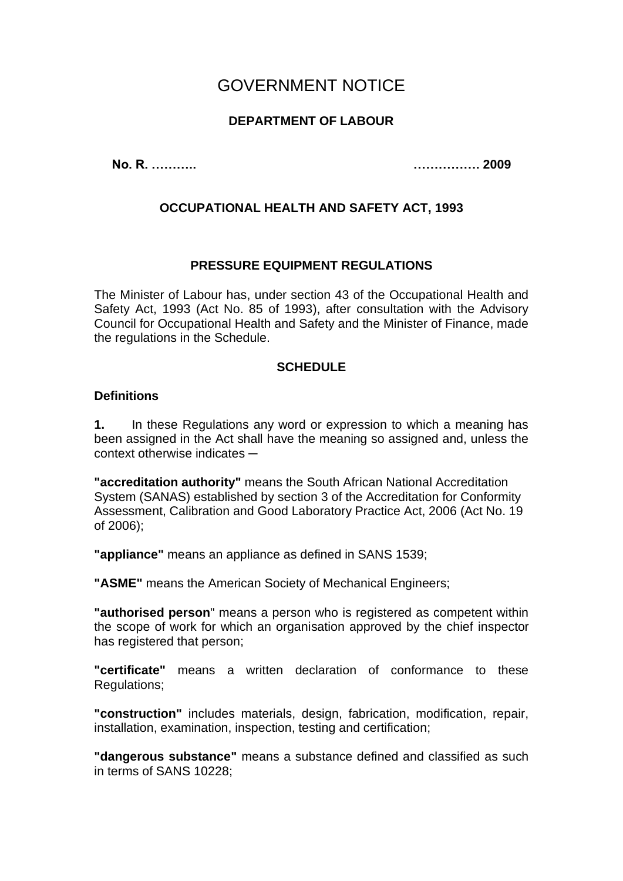# GOVERNMENT NOTICE

# **DEPARTMENT OF LABOUR**

**No. R. ……….. ……………. 2009**

# **OCCUPATIONAL HEALTH AND SAFETY ACT, 1993**

### **PRESSURE EQUIPMENT REGULATIONS**

The Minister of Labour has, under section 43 of the Occupational Health and Safety Act, 1993 (Act No. 85 of 1993), after consultation with the Advisory Council for Occupational Health and Safety and the Minister of Finance, made the regulations in the Schedule.

### **SCHEDULE**

#### **Definitions**

**1.** In these Regulations any word or expression to which a meaning has been assigned in the Act shall have the meaning so assigned and, unless the context otherwise indicates **─**

**"accreditation authority"** means the South African National Accreditation System (SANAS) established by section 3 of the Accreditation for Conformity Assessment, Calibration and Good Laboratory Practice Act, 2006 (Act No. 19 of 2006);

**"appliance"** means an appliance as defined in SANS 1539;

**"ASME"** means the American Society of Mechanical Engineers;

**"authorised person**" means a person who is registered as competent within the scope of work for which an organisation approved by the chief inspector has registered that person;

**"certificate"** means a written declaration of conformance to these Regulations;

**"construction"** includes materials, design, fabrication, modification, repair, installation, examination, inspection, testing and certification;

**"dangerous substance"** means a substance defined and classified as such in terms of SANS 10228;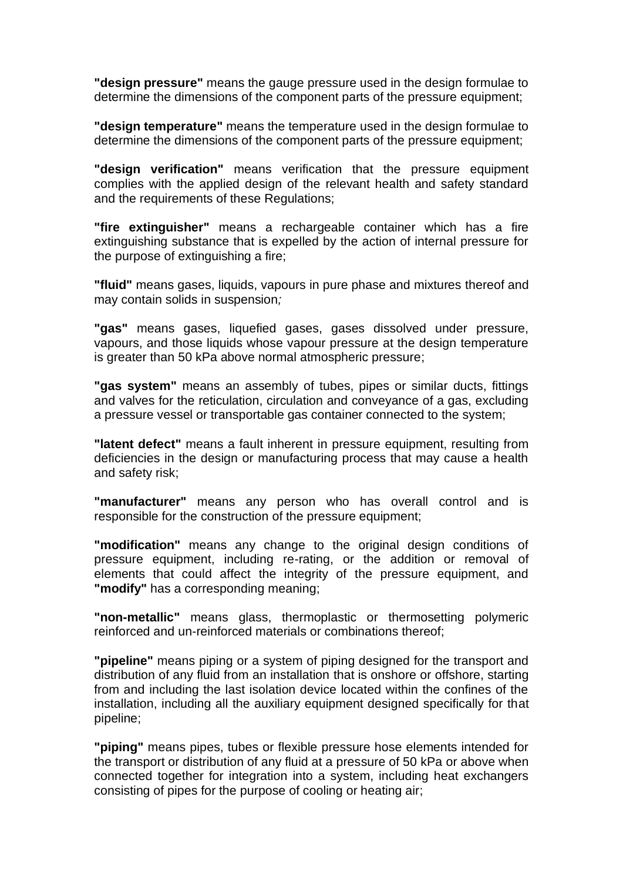**"design pressure"** means the gauge pressure used in the design formulae to determine the dimensions of the component parts of the pressure equipment;

**"design temperature"** means the temperature used in the design formulae to determine the dimensions of the component parts of the pressure equipment;

**"design verification"** means verification that the pressure equipment complies with the applied design of the relevant health and safety standard and the requirements of these Regulations;

**"fire extinguisher"** means a rechargeable container which has a fire extinguishing substance that is expelled by the action of internal pressure for the purpose of extinguishing a fire;

**"fluid"** means gases, liquids, vapours in pure phase and mixtures thereof and may contain solids in suspension*;*

**"gas"** means gases, liquefied gases, gases dissolved under pressure, vapours, and those liquids whose vapour pressure at the design temperature is greater than 50 kPa above normal atmospheric pressure;

**"gas system"** means an assembly of tubes, pipes or similar ducts, fittings and valves for the reticulation, circulation and conveyance of a gas, excluding a pressure vessel or transportable gas container connected to the system;

**"latent defect"** means a fault inherent in pressure equipment, resulting from deficiencies in the design or manufacturing process that may cause a health and safety risk;

**"manufacturer"** means any person who has overall control and is responsible for the construction of the pressure equipment;

**"modification"** means any change to the original design conditions of pressure equipment, including re-rating, or the addition or removal of elements that could affect the integrity of the pressure equipment, and **"modify"** has a corresponding meaning;

**"non-metallic"** means glass, thermoplastic or thermosetting polymeric reinforced and un-reinforced materials or combinations thereof;

**"pipeline"** means piping or a system of piping designed for the transport and distribution of any fluid from an installation that is onshore or offshore, starting from and including the last isolation device located within the confines of the installation, including all the auxiliary equipment designed specifically for that pipeline;

**"piping"** means pipes, tubes or flexible pressure hose elements intended for the transport or distribution of any fluid at a pressure of 50 kPa or above when connected together for integration into a system, including heat exchangers consisting of pipes for the purpose of cooling or heating air;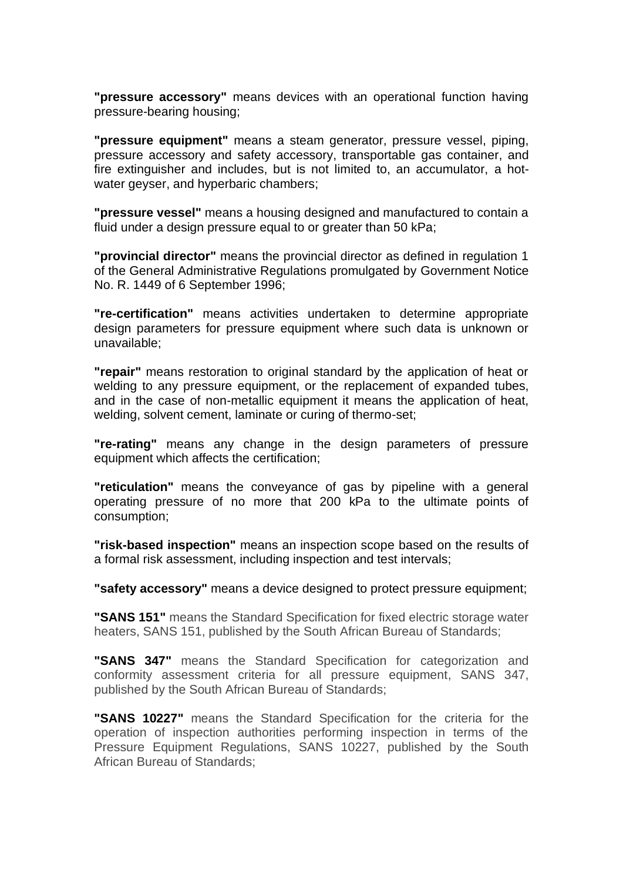**"pressure accessory"** means devices with an operational function having pressure-bearing housing;

**"pressure equipment"** means a steam generator, pressure vessel, piping, pressure accessory and safety accessory, transportable gas container, and fire extinguisher and includes, but is not limited to, an accumulator, a hotwater geyser, and hyperbaric chambers;

**"pressure vessel"** means a housing designed and manufactured to contain a fluid under a design pressure equal to or greater than 50 kPa;

**"provincial director"** means the provincial director as defined in regulation 1 of the General Administrative Regulations promulgated by Government Notice No. R. 1449 of 6 September 1996;

**"re-certification"** means activities undertaken to determine appropriate design parameters for pressure equipment where such data is unknown or unavailable;

**"repair"** means restoration to original standard by the application of heat or welding to any pressure equipment, or the replacement of expanded tubes, and in the case of non-metallic equipment it means the application of heat, welding, solvent cement, laminate or curing of thermo-set;

**"re-rating"** means any change in the design parameters of pressure equipment which affects the certification;

**"reticulation"** means the conveyance of gas by pipeline with a general operating pressure of no more that 200 kPa to the ultimate points of consumption;

**"risk-based inspection"** means an inspection scope based on the results of a formal risk assessment, including inspection and test intervals;

**"safety accessory"** means a device designed to protect pressure equipment;

**"SANS 151"** means the Standard Specification for fixed electric storage water heaters, SANS 151, published by the South African Bureau of Standards;

**"SANS 347"** means the Standard Specification for categorization and conformity assessment criteria for all pressure equipment, SANS 347, published by the South African Bureau of Standards;

**"SANS 10227"** means the Standard Specification for the criteria for the operation of inspection authorities performing inspection in terms of the Pressure Equipment Regulations, SANS 10227, published by the South African Bureau of Standards;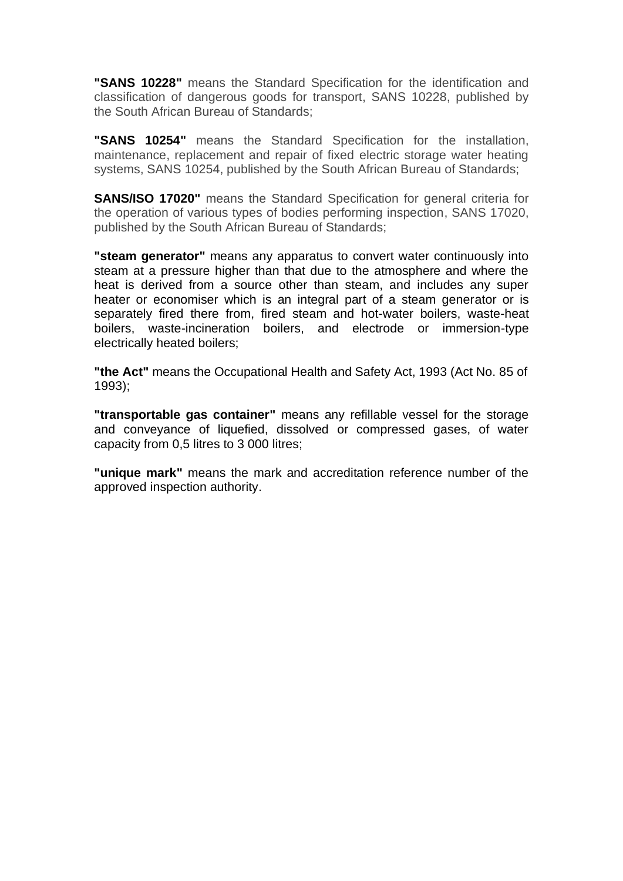**"SANS 10228"** means the Standard Specification for the identification and classification of dangerous goods for transport, SANS 10228, published by the South African Bureau of Standards;

**"SANS 10254"** means the Standard Specification for the installation, maintenance, replacement and repair of fixed electric storage water heating systems, SANS 10254, published by the South African Bureau of Standards;

**SANS/ISO 17020"** means the Standard Specification for general criteria for the operation of various types of bodies performing inspection, SANS 17020, published by the South African Bureau of Standards;

**"steam generator"** means any apparatus to convert water continuously into steam at a pressure higher than that due to the atmosphere and where the heat is derived from a source other than steam, and includes any super heater or economiser which is an integral part of a steam generator or is separately fired there from, fired steam and hot-water boilers, waste-heat boilers, waste-incineration boilers, and electrode or immersion-type electrically heated boilers;

**"the Act"** means the Occupational Health and Safety Act, 1993 (Act No. 85 of 1993);

**"transportable gas container"** means any refillable vessel for the storage and conveyance of liquefied, dissolved or compressed gases, of water capacity from 0,5 litres to 3 000 litres;

**"unique mark"** means the mark and accreditation reference number of the approved inspection authority.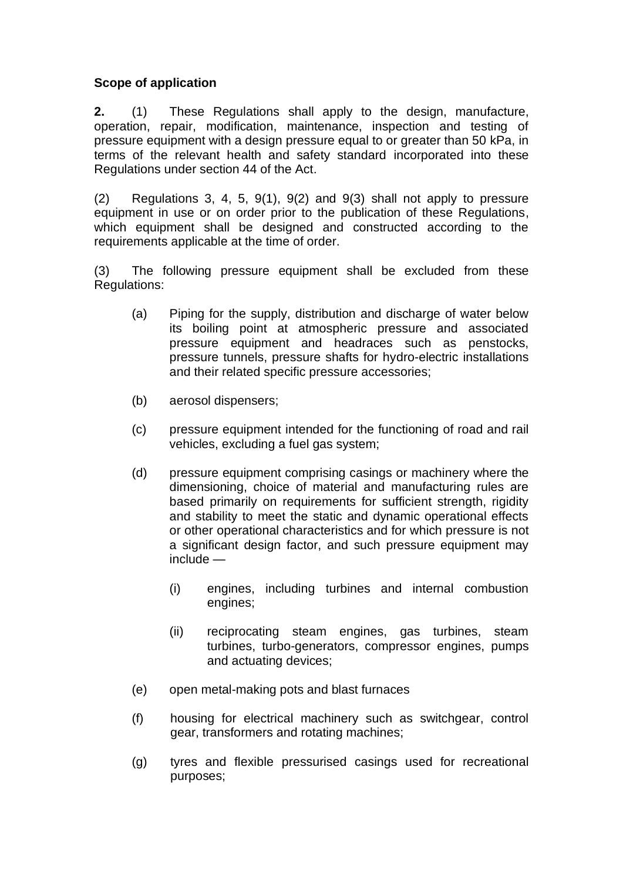### **Scope of application**

**2.** (1) These Regulations shall apply to the design, manufacture, operation, repair, modification, maintenance, inspection and testing of pressure equipment with a design pressure equal to or greater than 50 kPa, in terms of the relevant health and safety standard incorporated into these Regulations under section 44 of the Act.

(2) Regulations 3, 4, 5, 9(1), 9(2) and 9(3) shall not apply to pressure equipment in use or on order prior to the publication of these Regulations, which equipment shall be designed and constructed according to the requirements applicable at the time of order.

(3) The following pressure equipment shall be excluded from these Regulations:

- (a) Piping for the supply, distribution and discharge of water below its boiling point at atmospheric pressure and associated pressure equipment and headraces such as penstocks, pressure tunnels, pressure shafts for hydro-electric installations and their related specific pressure accessories;
- (b) aerosol dispensers;
- (c) pressure equipment intended for the functioning of road and rail vehicles, excluding a fuel gas system;
- (d) pressure equipment comprising casings or machinery where the dimensioning, choice of material and manufacturing rules are based primarily on requirements for sufficient strength, rigidity and stability to meet the static and dynamic operational effects or other operational characteristics and for which pressure is not a significant design factor, and such pressure equipment may include —
	- (i) engines, including turbines and internal combustion engines;
	- (ii) reciprocating steam engines, gas turbines, steam turbines, turbo-generators, compressor engines, pumps and actuating devices;
- (e) open metal-making pots and blast furnaces
- (f) housing for electrical machinery such as switchgear, control gear, transformers and rotating machines;
- (g) tyres and flexible pressurised casings used for recreational purposes;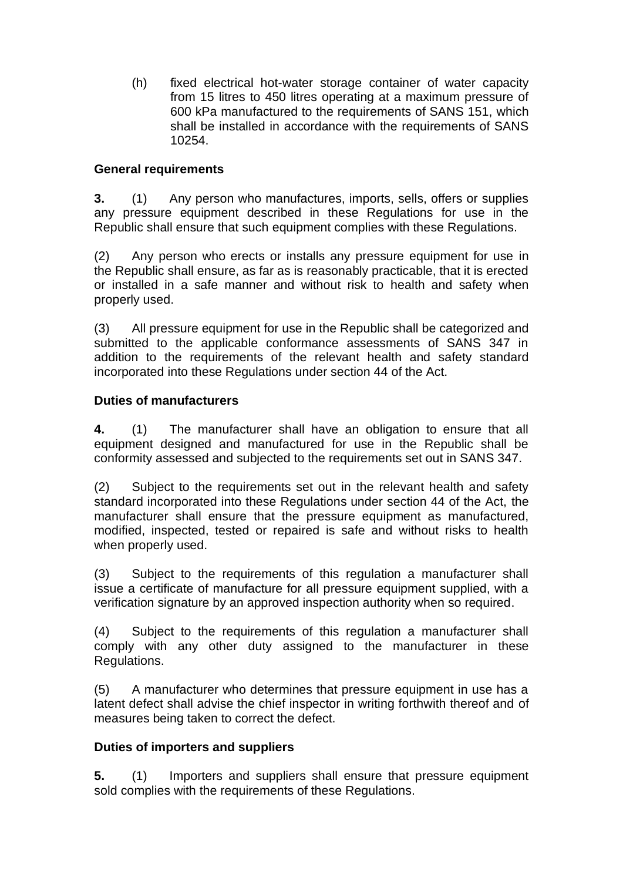(h) fixed electrical hot-water storage container of water capacity from 15 litres to 450 litres operating at a maximum pressure of 600 kPa manufactured to the requirements of SANS 151, which shall be installed in accordance with the requirements of SANS 10254.

# **General requirements**

**3.** (1) Any person who manufactures, imports, sells, offers or supplies any pressure equipment described in these Regulations for use in the Republic shall ensure that such equipment complies with these Regulations.

(2) Any person who erects or installs any pressure equipment for use in the Republic shall ensure, as far as is reasonably practicable, that it is erected or installed in a safe manner and without risk to health and safety when properly used.

(3) All pressure equipment for use in the Republic shall be categorized and submitted to the applicable conformance assessments of SANS 347 in addition to the requirements of the relevant health and safety standard incorporated into these Regulations under section 44 of the Act.

### **Duties of manufacturers**

**4.** (1) The manufacturer shall have an obligation to ensure that all equipment designed and manufactured for use in the Republic shall be conformity assessed and subjected to the requirements set out in SANS 347.

(2) Subject to the requirements set out in the relevant health and safety standard incorporated into these Regulations under section 44 of the Act, the manufacturer shall ensure that the pressure equipment as manufactured, modified, inspected, tested or repaired is safe and without risks to health when properly used.

(3) Subject to the requirements of this regulation a manufacturer shall issue a certificate of manufacture for all pressure equipment supplied, with a verification signature by an approved inspection authority when so required.

(4) Subject to the requirements of this regulation a manufacturer shall comply with any other duty assigned to the manufacturer in these Regulations.

(5) A manufacturer who determines that pressure equipment in use has a latent defect shall advise the chief inspector in writing forthwith thereof and of measures being taken to correct the defect.

### **Duties of importers and suppliers**

**5.** (1) Importers and suppliers shall ensure that pressure equipment sold complies with the requirements of these Regulations.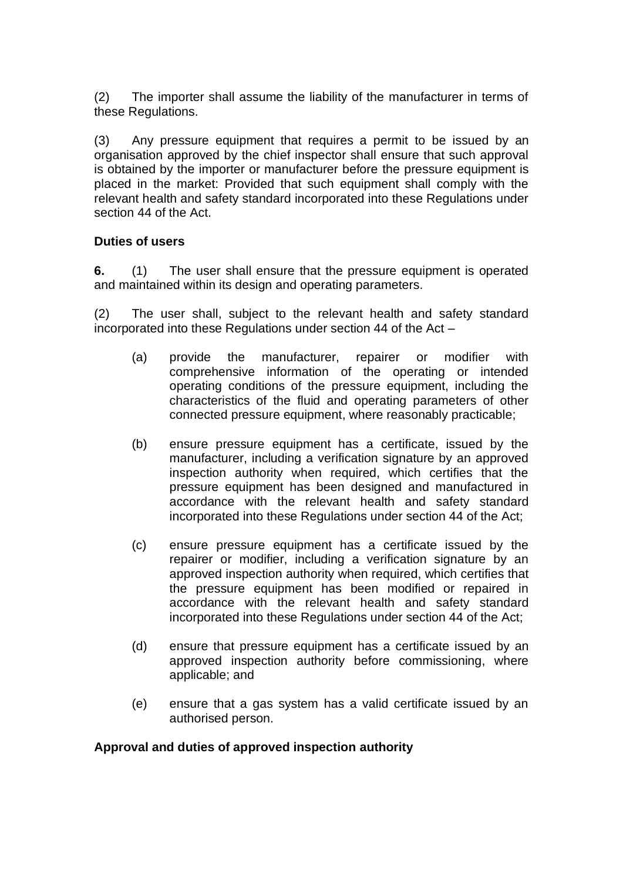(2) The importer shall assume the liability of the manufacturer in terms of these Regulations.

(3) Any pressure equipment that requires a permit to be issued by an organisation approved by the chief inspector shall ensure that such approval is obtained by the importer or manufacturer before the pressure equipment is placed in the market: Provided that such equipment shall comply with the relevant health and safety standard incorporated into these Regulations under section 44 of the Act.

### **Duties of users**

**6.** (1) The user shall ensure that the pressure equipment is operated and maintained within its design and operating parameters.

(2) The user shall, subject to the relevant health and safety standard incorporated into these Regulations under section 44 of the Act –

- (a) provide the manufacturer, repairer or modifier with comprehensive information of the operating or intended operating conditions of the pressure equipment, including the characteristics of the fluid and operating parameters of other connected pressure equipment, where reasonably practicable;
- (b) ensure pressure equipment has a certificate, issued by the manufacturer, including a verification signature by an approved inspection authority when required, which certifies that the pressure equipment has been designed and manufactured in accordance with the relevant health and safety standard incorporated into these Regulations under section 44 of the Act;
- (c) ensure pressure equipment has a certificate issued by the repairer or modifier, including a verification signature by an approved inspection authority when required, which certifies that the pressure equipment has been modified or repaired in accordance with the relevant health and safety standard incorporated into these Regulations under section 44 of the Act;
- (d) ensure that pressure equipment has a certificate issued by an approved inspection authority before commissioning, where applicable; and
- (e) ensure that a gas system has a valid certificate issued by an authorised person.

### **Approval and duties of approved inspection authority**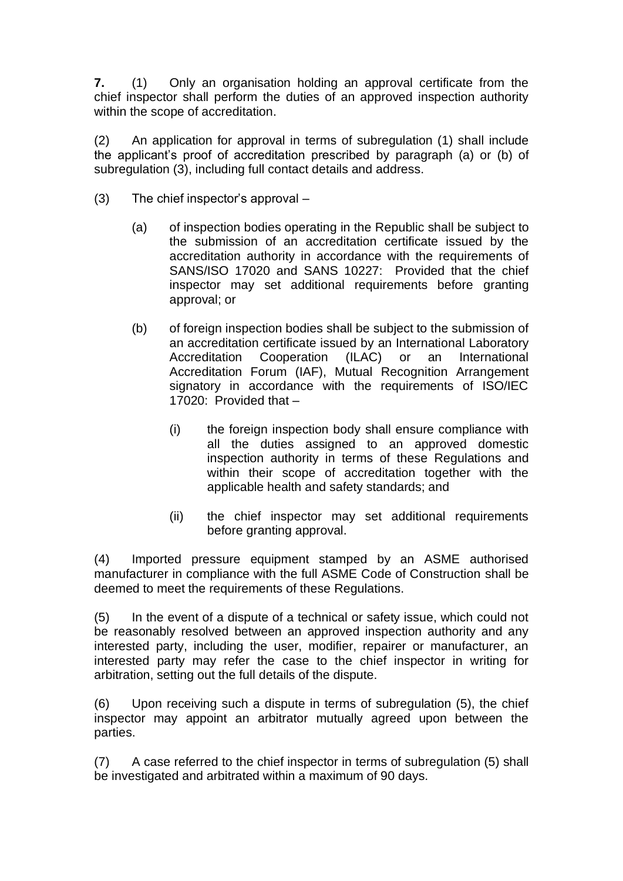**7.** (1) Only an organisation holding an approval certificate from the chief inspector shall perform the duties of an approved inspection authority within the scope of accreditation.

(2) An application for approval in terms of subregulation (1) shall include the applicant's proof of accreditation prescribed by paragraph (a) or (b) of subregulation (3), including full contact details and address.

- (3) The chief inspector's approval
	- (a) of inspection bodies operating in the Republic shall be subject to the submission of an accreditation certificate issued by the accreditation authority in accordance with the requirements of SANS/ISO 17020 and SANS 10227: Provided that the chief inspector may set additional requirements before granting approval; or
	- (b) of foreign inspection bodies shall be subject to the submission of an accreditation certificate issued by an International Laboratory Accreditation Cooperation (ILAC) or an International Accreditation Forum (IAF), Mutual Recognition Arrangement signatory in accordance with the requirements of ISO/IEC 17020: Provided that –
		- (i) the foreign inspection body shall ensure compliance with all the duties assigned to an approved domestic inspection authority in terms of these Regulations and within their scope of accreditation together with the applicable health and safety standards; and
		- (ii) the chief inspector may set additional requirements before granting approval.

(4) Imported pressure equipment stamped by an ASME authorised manufacturer in compliance with the full ASME Code of Construction shall be deemed to meet the requirements of these Regulations.

(5) In the event of a dispute of a technical or safety issue, which could not be reasonably resolved between an approved inspection authority and any interested party, including the user, modifier, repairer or manufacturer, an interested party may refer the case to the chief inspector in writing for arbitration, setting out the full details of the dispute.

(6) Upon receiving such a dispute in terms of subregulation (5), the chief inspector may appoint an arbitrator mutually agreed upon between the parties.

(7) A case referred to the chief inspector in terms of subregulation (5) shall be investigated and arbitrated within a maximum of 90 days.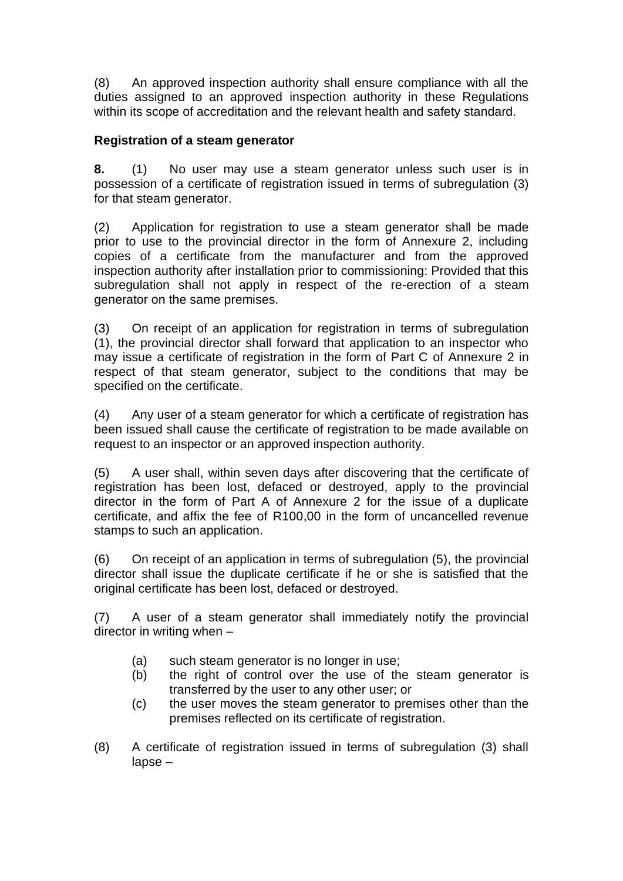(8) An approved inspection authority shall ensure compliance with all the duties assigned to an approved inspection authority in these Regulations within its scope of accreditation and the relevant health and safety standard.

# **Registration of a steam generator**

**8.** (1) No user may use a steam generator unless such user is in possession of a certificate of registration issued in terms of subregulation (3) for that steam generator.

(2) Application for registration to use a steam generator shall be made prior to use to the provincial director in the form of Annexure 2, including copies of a certificate from the manufacturer and from the approved inspection authority after installation prior to commissioning: Provided that this subregulation shall not apply in respect of the re-erection of a steam generator on the same premises.

(3) On receipt of an application for registration in terms of subregulation (1), the provincial director shall forward that application to an inspector who may issue a certificate of registration in the form of Part C of Annexure 2 in respect of that steam generator, subject to the conditions that may be specified on the certificate.

(4) Any user of a steam generator for which a certificate of registration has been issued shall cause the certificate of registration to be made available on request to an inspector or an approved inspection authority.

(5) A user shall, within seven days after discovering that the certificate of registration has been lost, defaced or destroyed, apply to the provincial director in the form of Part A of Annexure 2 for the issue of a duplicate certificate, and affix the fee of R100,00 in the form of uncancelled revenue stamps to such an application.

(6) On receipt of an application in terms of subregulation (5), the provincial director shall issue the duplicate certificate if he or she is satisfied that the original certificate has been lost, defaced or destroyed.

(7) A user of a steam generator shall immediately notify the provincial director in writing when –

- (a) such steam generator is no longer in use;
- (b) the right of control over the use of the steam generator is transferred by the user to any other user; or
- (c) the user moves the steam generator to premises other than the premises reflected on its certificate of registration.
- (8) A certificate of registration issued in terms of subregulation (3) shall lapse –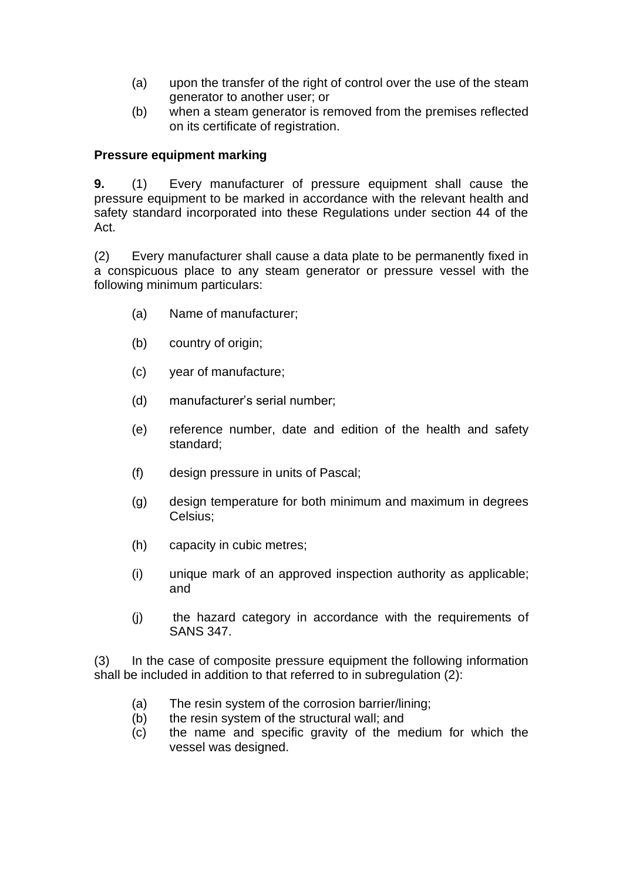- (a) upon the transfer of the right of control over the use of the steam generator to another user; or
- (b) when a steam generator is removed from the premises reflected on its certificate of registration.

### **Pressure equipment marking**

**9.** (1) Every manufacturer of pressure equipment shall cause the pressure equipment to be marked in accordance with the relevant health and safety standard incorporated into these Regulations under section 44 of the Act.

(2) Every manufacturer shall cause a data plate to be permanently fixed in a conspicuous place to any steam generator or pressure vessel with the following minimum particulars:

- (a) Name of manufacturer;
- (b) country of origin;
- (c) year of manufacture;
- (d) manufacturer's serial number;
- (e) reference number, date and edition of the health and safety standard;
- (f) design pressure in units of Pascal;
- (g) design temperature for both minimum and maximum in degrees Celsius;
- (h) capacity in cubic metres;
- (i) unique mark of an approved inspection authority as applicable; and
- (j) the hazard category in accordance with the requirements of SANS 347.

(3) In the case of composite pressure equipment the following information shall be included in addition to that referred to in subregulation (2):

- (a) The resin system of the corrosion barrier/lining;
- (b) the resin system of the structural wall; and
- (c) the name and specific gravity of the medium for which the vessel was designed.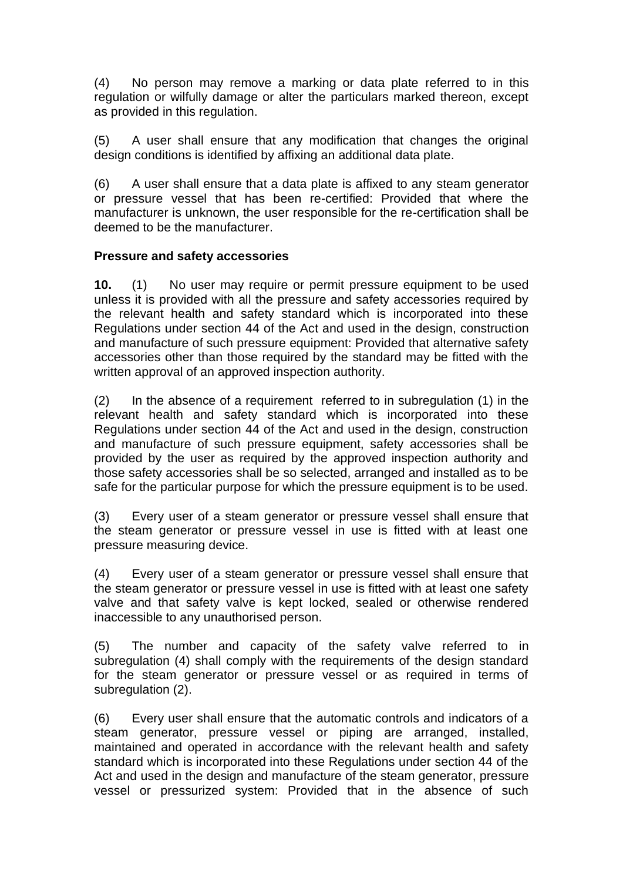(4) No person may remove a marking or data plate referred to in this regulation or wilfully damage or alter the particulars marked thereon, except as provided in this regulation.

(5) A user shall ensure that any modification that changes the original design conditions is identified by affixing an additional data plate.

(6) A user shall ensure that a data plate is affixed to any steam generator or pressure vessel that has been re-certified: Provided that where the manufacturer is unknown, the user responsible for the re-certification shall be deemed to be the manufacturer.

### **Pressure and safety accessories**

**10.** (1) No user may require or permit pressure equipment to be used unless it is provided with all the pressure and safety accessories required by the relevant health and safety standard which is incorporated into these Regulations under section 44 of the Act and used in the design, construction and manufacture of such pressure equipment: Provided that alternative safety accessories other than those required by the standard may be fitted with the written approval of an approved inspection authority.

(2) In the absence of a requirement referred to in subregulation (1) in the relevant health and safety standard which is incorporated into these Regulations under section 44 of the Act and used in the design, construction and manufacture of such pressure equipment, safety accessories shall be provided by the user as required by the approved inspection authority and those safety accessories shall be so selected, arranged and installed as to be safe for the particular purpose for which the pressure equipment is to be used.

(3) Every user of a steam generator or pressure vessel shall ensure that the steam generator or pressure vessel in use is fitted with at least one pressure measuring device.

(4) Every user of a steam generator or pressure vessel shall ensure that the steam generator or pressure vessel in use is fitted with at least one safety valve and that safety valve is kept locked, sealed or otherwise rendered inaccessible to any unauthorised person.

(5) The number and capacity of the safety valve referred to in subregulation (4) shall comply with the requirements of the design standard for the steam generator or pressure vessel or as required in terms of subregulation (2).

(6) Every user shall ensure that the automatic controls and indicators of a steam generator, pressure vessel or piping are arranged, installed, maintained and operated in accordance with the relevant health and safety standard which is incorporated into these Regulations under section 44 of the Act and used in the design and manufacture of the steam generator, pressure vessel or pressurized system: Provided that in the absence of such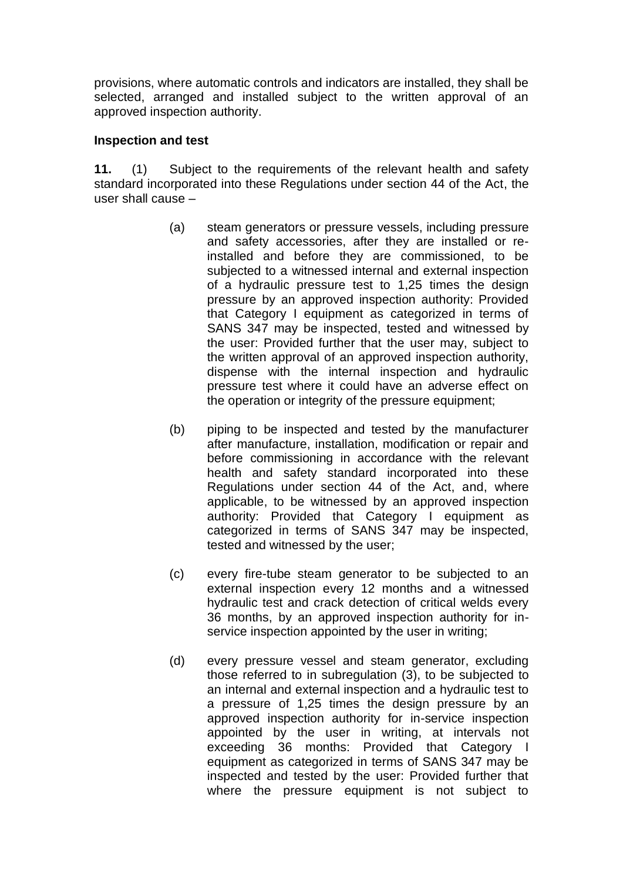provisions, where automatic controls and indicators are installed, they shall be selected, arranged and installed subject to the written approval of an approved inspection authority.

### **Inspection and test**

**11.** (1) Subject to the requirements of the relevant health and safety standard incorporated into these Regulations under section 44 of the Act, the user shall cause –

- (a) steam generators or pressure vessels, including pressure and safety accessories, after they are installed or reinstalled and before they are commissioned, to be subjected to a witnessed internal and external inspection of a hydraulic pressure test to 1,25 times the design pressure by an approved inspection authority: Provided that Category I equipment as categorized in terms of SANS 347 may be inspected, tested and witnessed by the user: Provided further that the user may, subject to the written approval of an approved inspection authority, dispense with the internal inspection and hydraulic pressure test where it could have an adverse effect on the operation or integrity of the pressure equipment;
- (b) piping to be inspected and tested by the manufacturer after manufacture, installation, modification or repair and before commissioning in accordance with the relevant health and safety standard incorporated into these Regulations under section 44 of the Act, and, where applicable, to be witnessed by an approved inspection authority: Provided that Category I equipment as categorized in terms of SANS 347 may be inspected, tested and witnessed by the user;
- (c) every fire-tube steam generator to be subjected to an external inspection every 12 months and a witnessed hydraulic test and crack detection of critical welds every 36 months, by an approved inspection authority for inservice inspection appointed by the user in writing;
- (d) every pressure vessel and steam generator, excluding those referred to in subregulation (3), to be subjected to an internal and external inspection and a hydraulic test to a pressure of 1,25 times the design pressure by an approved inspection authority for in-service inspection appointed by the user in writing, at intervals not exceeding 36 months: Provided that Category I equipment as categorized in terms of SANS 347 may be inspected and tested by the user: Provided further that where the pressure equipment is not subject to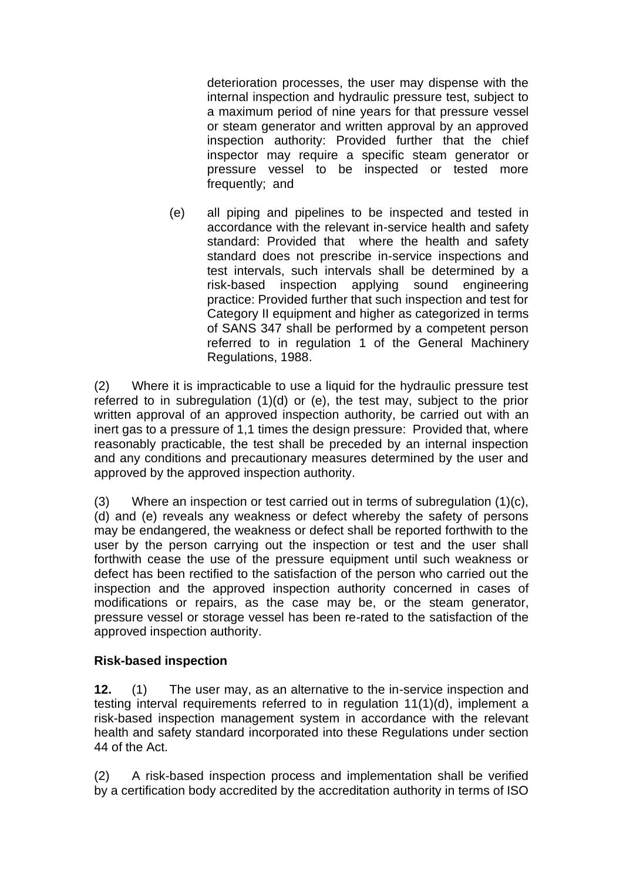deterioration processes, the user may dispense with the internal inspection and hydraulic pressure test, subject to a maximum period of nine years for that pressure vessel or steam generator and written approval by an approved inspection authority: Provided further that the chief inspector may require a specific steam generator or pressure vessel to be inspected or tested more frequently; and

(e) all piping and pipelines to be inspected and tested in accordance with the relevant in-service health and safety standard: Provided that where the health and safety standard does not prescribe in-service inspections and test intervals, such intervals shall be determined by a risk-based inspection applying sound engineering practice: Provided further that such inspection and test for Category II equipment and higher as categorized in terms of SANS 347 shall be performed by a competent person referred to in regulation 1 of the General Machinery Regulations, 1988.

(2) Where it is impracticable to use a liquid for the hydraulic pressure test referred to in subregulation (1)(d) or (e), the test may, subject to the prior written approval of an approved inspection authority, be carried out with an inert gas to a pressure of 1,1 times the design pressure: Provided that, where reasonably practicable, the test shall be preceded by an internal inspection and any conditions and precautionary measures determined by the user and approved by the approved inspection authority.

(3) Where an inspection or test carried out in terms of subregulation (1)(c), (d) and (e) reveals any weakness or defect whereby the safety of persons may be endangered, the weakness or defect shall be reported forthwith to the user by the person carrying out the inspection or test and the user shall forthwith cease the use of the pressure equipment until such weakness or defect has been rectified to the satisfaction of the person who carried out the inspection and the approved inspection authority concerned in cases of modifications or repairs, as the case may be, or the steam generator, pressure vessel or storage vessel has been re-rated to the satisfaction of the approved inspection authority.

# **Risk-based inspection**

**12.** (1) The user may, as an alternative to the in-service inspection and testing interval requirements referred to in regulation 11(1)(d), implement a risk-based inspection management system in accordance with the relevant health and safety standard incorporated into these Regulations under section 44 of the Act.

(2) A risk-based inspection process and implementation shall be verified by a certification body accredited by the accreditation authority in terms of ISO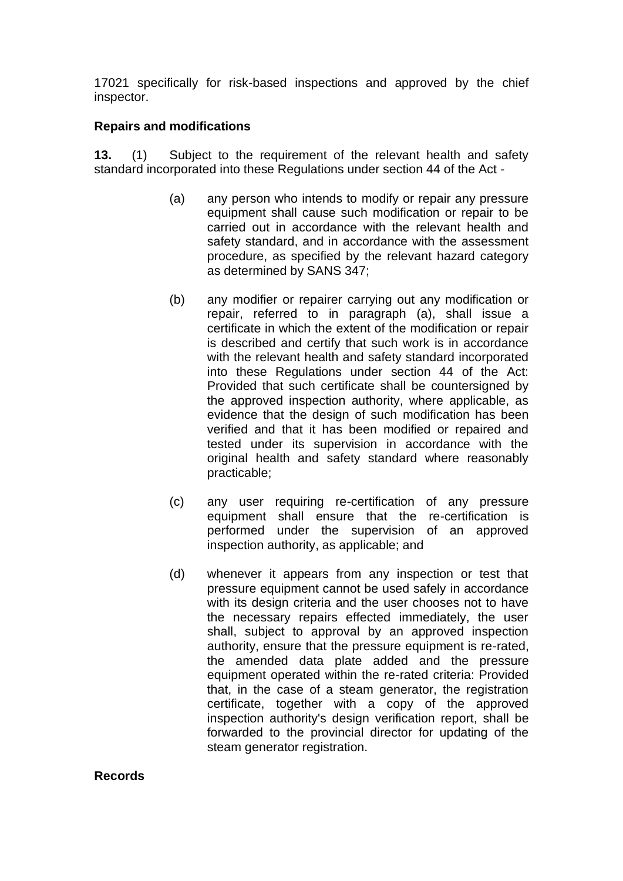17021 specifically for risk-based inspections and approved by the chief inspector.

# **Repairs and modifications**

**13.** (1) Subject to the requirement of the relevant health and safety standard incorporated into these Regulations under section 44 of the Act -

- (a) any person who intends to modify or repair any pressure equipment shall cause such modification or repair to be carried out in accordance with the relevant health and safety standard, and in accordance with the assessment procedure, as specified by the relevant hazard category as determined by SANS 347;
- (b) any modifier or repairer carrying out any modification or repair, referred to in paragraph (a), shall issue a certificate in which the extent of the modification or repair is described and certify that such work is in accordance with the relevant health and safety standard incorporated into these Regulations under section 44 of the Act: Provided that such certificate shall be countersigned by the approved inspection authority, where applicable, as evidence that the design of such modification has been verified and that it has been modified or repaired and tested under its supervision in accordance with the original health and safety standard where reasonably practicable;
- (c) any user requiring re-certification of any pressure equipment shall ensure that the re-certification is performed under the supervision of an approved inspection authority, as applicable; and
- (d) whenever it appears from any inspection or test that pressure equipment cannot be used safely in accordance with its design criteria and the user chooses not to have the necessary repairs effected immediately, the user shall, subject to approval by an approved inspection authority, ensure that the pressure equipment is re-rated, the amended data plate added and the pressure equipment operated within the re-rated criteria: Provided that, in the case of a steam generator, the registration certificate, together with a copy of the approved inspection authority's design verification report, shall be forwarded to the provincial director for updating of the steam generator registration.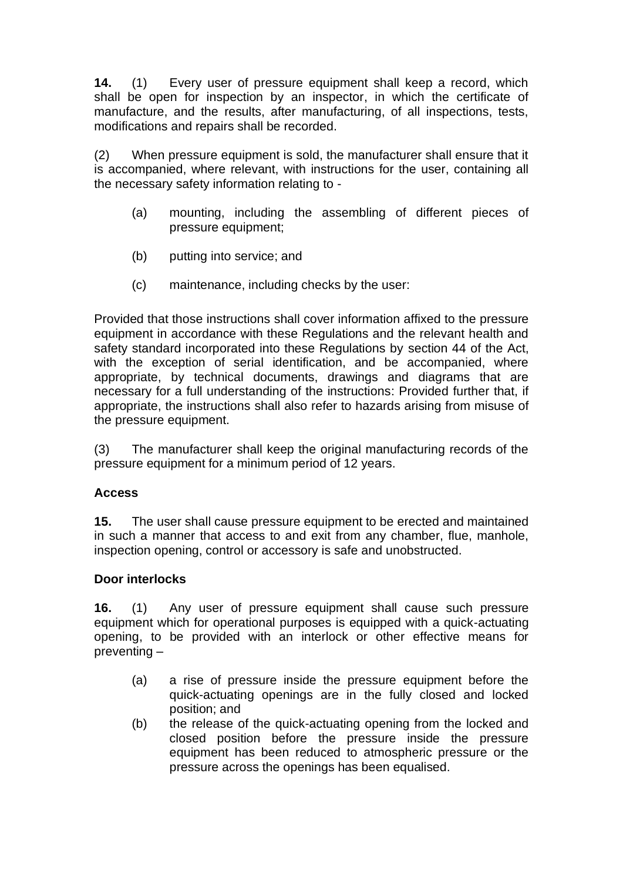**14.** (1) Every user of pressure equipment shall keep a record, which shall be open for inspection by an inspector, in which the certificate of manufacture, and the results, after manufacturing, of all inspections, tests, modifications and repairs shall be recorded.

(2) When pressure equipment is sold, the manufacturer shall ensure that it is accompanied, where relevant, with instructions for the user, containing all the necessary safety information relating to -

- (a) mounting, including the assembling of different pieces of pressure equipment;
- (b) putting into service; and
- (c) maintenance, including checks by the user:

Provided that those instructions shall cover information affixed to the pressure equipment in accordance with these Regulations and the relevant health and safety standard incorporated into these Regulations by section 44 of the Act, with the exception of serial identification, and be accompanied, where appropriate, by technical documents, drawings and diagrams that are necessary for a full understanding of the instructions: Provided further that, if appropriate, the instructions shall also refer to hazards arising from misuse of the pressure equipment.

(3) The manufacturer shall keep the original manufacturing records of the pressure equipment for a minimum period of 12 years.

# **Access**

**15.** The user shall cause pressure equipment to be erected and maintained in such a manner that access to and exit from any chamber, flue, manhole, inspection opening, control or accessory is safe and unobstructed.

# **Door interlocks**

**16.** (1) Any user of pressure equipment shall cause such pressure equipment which for operational purposes is equipped with a quick-actuating opening, to be provided with an interlock or other effective means for preventing –

- (a) a rise of pressure inside the pressure equipment before the quick-actuating openings are in the fully closed and locked position; and
- (b) the release of the quick-actuating opening from the locked and closed position before the pressure inside the pressure equipment has been reduced to atmospheric pressure or the pressure across the openings has been equalised.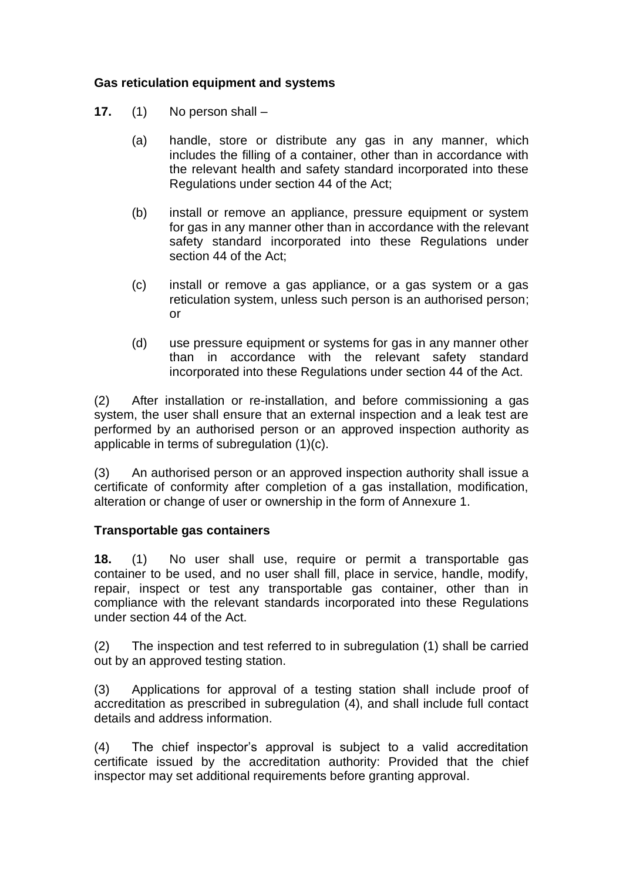### **Gas reticulation equipment and systems**

- **17.** (1) No person shall
	- (a) handle, store or distribute any gas in any manner, which includes the filling of a container, other than in accordance with the relevant health and safety standard incorporated into these Regulations under section 44 of the Act;
	- (b) install or remove an appliance, pressure equipment or system for gas in any manner other than in accordance with the relevant safety standard incorporated into these Regulations under section 44 of the Act;
	- (c) install or remove a gas appliance, or a gas system or a gas reticulation system, unless such person is an authorised person; or
	- (d) use pressure equipment or systems for gas in any manner other than in accordance with the relevant safety standard incorporated into these Regulations under section 44 of the Act.

(2) After installation or re-installation, and before commissioning a gas system, the user shall ensure that an external inspection and a leak test are performed by an authorised person or an approved inspection authority as applicable in terms of subregulation (1)(c).

(3) An authorised person or an approved inspection authority shall issue a certificate of conformity after completion of a gas installation, modification, alteration or change of user or ownership in the form of Annexure 1.

### **Transportable gas containers**

**18.** (1) No user shall use, require or permit a transportable gas container to be used, and no user shall fill, place in service, handle, modify, repair, inspect or test any transportable gas container, other than in compliance with the relevant standards incorporated into these Regulations under section 44 of the Act.

(2) The inspection and test referred to in subregulation (1) shall be carried out by an approved testing station.

(3) Applications for approval of a testing station shall include proof of accreditation as prescribed in subregulation (4), and shall include full contact details and address information.

(4) The chief inspector's approval is subject to a valid accreditation certificate issued by the accreditation authority: Provided that the chief inspector may set additional requirements before granting approval.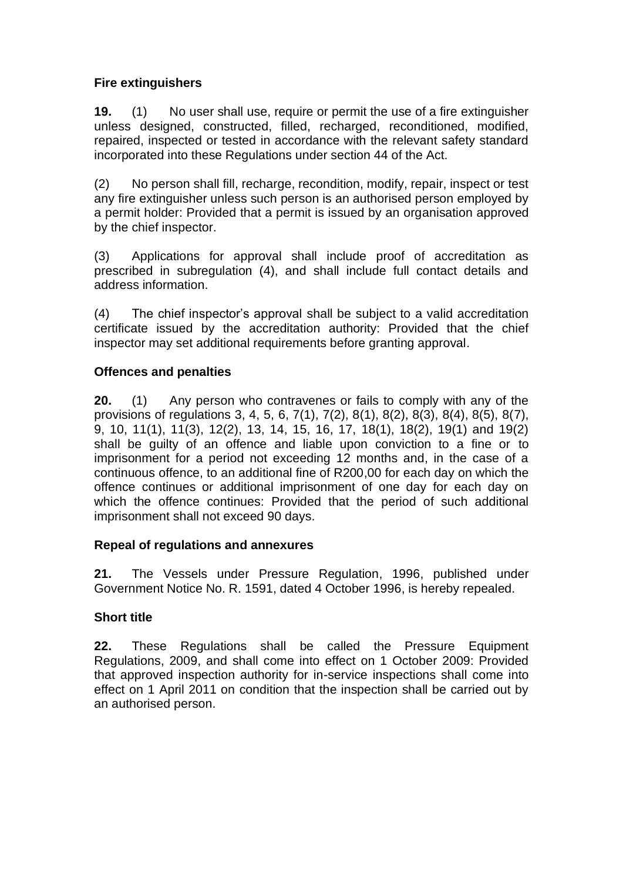# **Fire extinguishers**

**19.** (1) No user shall use, require or permit the use of a fire extinguisher unless designed, constructed, filled, recharged, reconditioned, modified, repaired, inspected or tested in accordance with the relevant safety standard incorporated into these Regulations under section 44 of the Act.

(2) No person shall fill, recharge, recondition, modify, repair, inspect or test any fire extinguisher unless such person is an authorised person employed by a permit holder: Provided that a permit is issued by an organisation approved by the chief inspector.

(3) Applications for approval shall include proof of accreditation as prescribed in subregulation (4), and shall include full contact details and address information.

(4) The chief inspector's approval shall be subject to a valid accreditation certificate issued by the accreditation authority: Provided that the chief inspector may set additional requirements before granting approval.

# **Offences and penalties**

**20.** (1) Any person who contravenes or fails to comply with any of the provisions of regulations 3, 4, 5, 6, 7(1), 7(2), 8(1), 8(2), 8(3), 8(4), 8(5), 8(7), 9, 10, 11(1), 11(3), 12(2), 13, 14, 15, 16, 17, 18(1), 18(2), 19(1) and 19(2) shall be guilty of an offence and liable upon conviction to a fine or to imprisonment for a period not exceeding 12 months and, in the case of a continuous offence, to an additional fine of R200,00 for each day on which the offence continues or additional imprisonment of one day for each day on which the offence continues: Provided that the period of such additional imprisonment shall not exceed 90 days.

# **Repeal of regulations and annexures**

**21.** The Vessels under Pressure Regulation, 1996, published under Government Notice No. R. 1591, dated 4 October 1996, is hereby repealed.

# **Short title**

**22.** These Regulations shall be called the Pressure Equipment Regulations, 2009, and shall come into effect on 1 October 2009: Provided that approved inspection authority for in-service inspections shall come into effect on 1 April 2011 on condition that the inspection shall be carried out by an authorised person.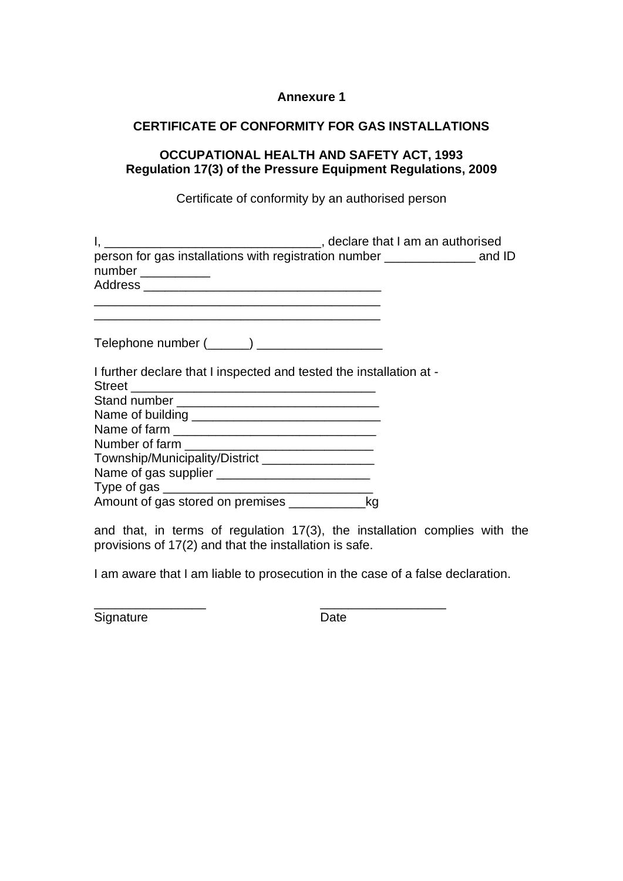#### **Annexure 1**

### **CERTIFICATE OF CONFORMITY FOR GAS INSTALLATIONS**

### **OCCUPATIONAL HEALTH AND SAFETY ACT, 1993 Regulation 17(3) of the Pressure Equipment Regulations, 2009**

Certificate of conformity by an authorised person

| person for gas installations with registration number ______________ and ID                                                                                                                 |  |
|---------------------------------------------------------------------------------------------------------------------------------------------------------------------------------------------|--|
| <u> 2000 - 2000 - 2000 - 2000 - 2000 - 2000 - 2000 - 2000 - 2000 - 2000 - 2000 - 2000 - 2000 - 2000 - 2000 - 200</u><br>I further declare that I inspected and tested the installation at - |  |
|                                                                                                                                                                                             |  |
|                                                                                                                                                                                             |  |
|                                                                                                                                                                                             |  |
|                                                                                                                                                                                             |  |
| Township/Municipality/District ___________________                                                                                                                                          |  |
|                                                                                                                                                                                             |  |
|                                                                                                                                                                                             |  |
|                                                                                                                                                                                             |  |
| $\sim$ 1 d at the case of as taken $4\pi/6$ d and added as the construction of the d                                                                                                        |  |

and that, in terms of regulation 17(3), the installation complies with the provisions of 17(2) and that the installation is safe.

I am aware that I am liable to prosecution in the case of a false declaration.

\_\_\_\_\_\_\_\_\_\_\_\_\_\_\_\_ \_\_\_\_\_\_\_\_\_\_\_\_\_\_\_\_\_\_

Signature Date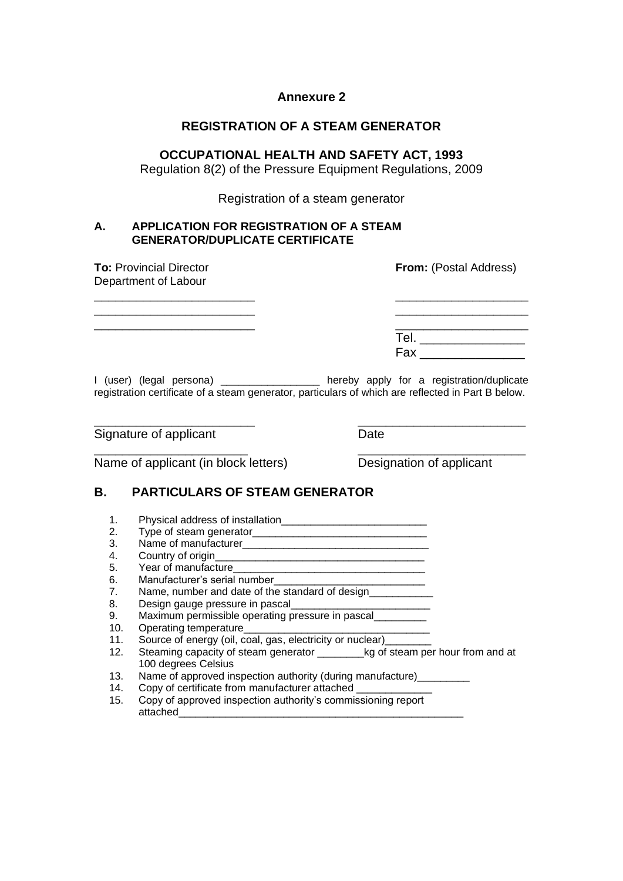#### **Annexure 2**

### **REGISTRATION OF A STEAM GENERATOR**

#### **OCCUPATIONAL HEALTH AND SAFETY ACT, 1993**

Regulation 8(2) of the Pressure Equipment Regulations, 2009

Registration of a steam generator

#### **A. APPLICATION FOR REGISTRATION OF A STEAM GENERATOR/DUPLICATE CERTIFICATE**

| <b>To: Provincial Director</b><br>Department of Labour | <b>From:</b> (Postal Address)                                                                                                                   |
|--------------------------------------------------------|-------------------------------------------------------------------------------------------------------------------------------------------------|
|                                                        |                                                                                                                                                 |
|                                                        | Tel. ___________________                                                                                                                        |
|                                                        | <b>Fax</b>                                                                                                                                      |
| $I$ (user) (legal persona) $\frac{1}{1}$               | hereby apply for a registration/duplicate<br>registration certificate of a steam generator, particulars of which are reflected in Part B below. |

\_\_\_\_\_\_\_\_\_\_\_\_\_\_\_\_\_\_\_\_\_\_\_ \_\_\_\_\_\_\_\_\_\_\_\_\_\_\_\_\_\_\_\_\_\_\_\_

\_\_\_\_\_\_\_\_\_\_\_\_\_\_\_\_\_\_\_\_\_\_ \_\_\_\_\_\_\_\_\_\_\_\_\_\_\_\_\_\_\_\_\_\_\_\_

Signature of applicant Date

Name of applicant (in block letters) Designation of applicant

### **B. PARTICULARS OF STEAM GENERATOR**

- 1. Physical address of installation\_\_\_\_\_\_\_\_\_\_\_\_\_\_\_\_\_\_\_\_\_\_\_\_\_
- 2. Type of steam generator\_\_\_\_\_\_\_\_\_\_\_\_\_\_\_\_\_\_\_\_\_\_\_\_\_\_\_\_\_\_
- 3. Name of manufacturer\_\_\_\_\_\_\_\_\_\_\_\_\_\_\_\_\_\_\_\_\_\_\_\_\_\_\_\_\_\_\_\_
- 4. Country of origin\_\_\_\_\_\_\_\_\_\_\_\_\_\_\_\_\_\_\_\_\_\_\_\_\_\_\_\_\_\_\_\_\_\_\_\_
- 5. Year of manufacture
- 6. Manufacturer's serial number<br>7. Name. number and date of the s
- Name, number and date of the standard of design
- 8. Design gauge pressure in pascal
- 9. Maximum permissible operating pressure in pascal
- 10. Operating temperature\_\_\_\_\_\_\_\_\_\_\_\_\_\_\_\_\_\_\_\_\_\_\_\_\_\_\_\_\_\_\_\_
- 11. Source of energy (oil, coal, gas, electricity or nuclear)\_\_\_\_\_\_\_\_
- 12. Steaming capacity of steam generator \_\_\_\_\_\_\_\_kg of steam per hour from and at 100 degrees Celsius
- 13. Name of approved inspection authority (during manufacture)\_\_\_\_\_\_\_\_\_
- 14. Copy of certificate from manufacturer attached \_\_\_\_\_\_\_\_\_\_\_\_\_
- 15. Copy of approved inspection authority's commissioning report attached\_\_\_\_\_\_\_\_\_\_\_\_\_\_\_\_\_\_\_\_\_\_\_\_\_\_\_\_\_\_\_\_\_\_\_\_\_\_\_\_\_\_\_\_\_\_\_\_\_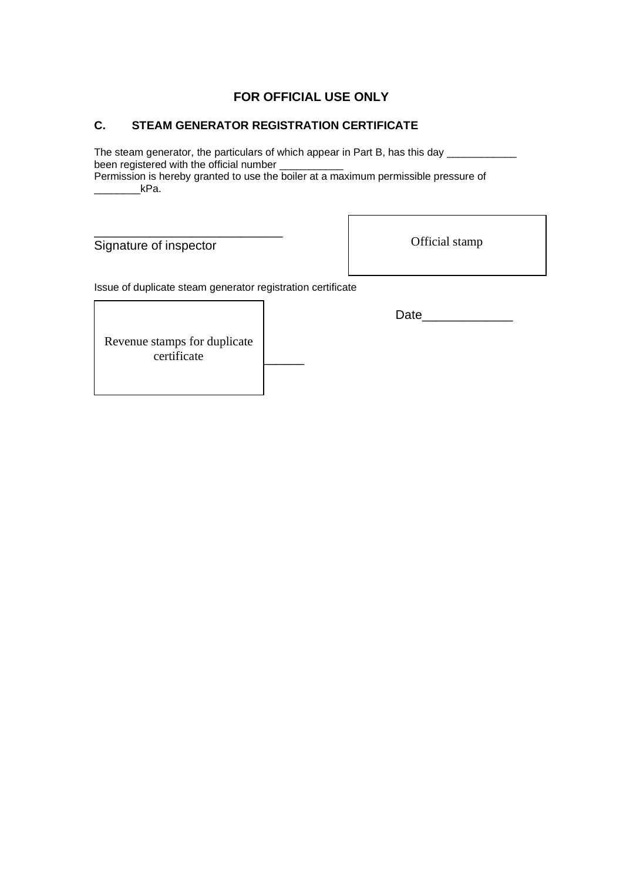### **FOR OFFICIAL USE ONLY**

### **C. STEAM GENERATOR REGISTRATION CERTIFICATE**

The steam generator, the particulars of which appear in Part B, has this day \_\_\_\_\_\_\_\_\_\_ been registered with the official number \_\_\_\_\_\_\_\_\_\_\_\_

Permission is hereby granted to use the boiler at a maximum permissible pressure of  $kPa.$ 

Signature of inspector

Official stamp

Issue of duplicate steam generator registration certificate

Date **Date** 

certificate **contains a** Revenue stamps for duplicate

\_\_\_\_\_\_\_\_\_\_\_\_\_\_\_\_\_\_\_\_\_\_\_\_\_\_\_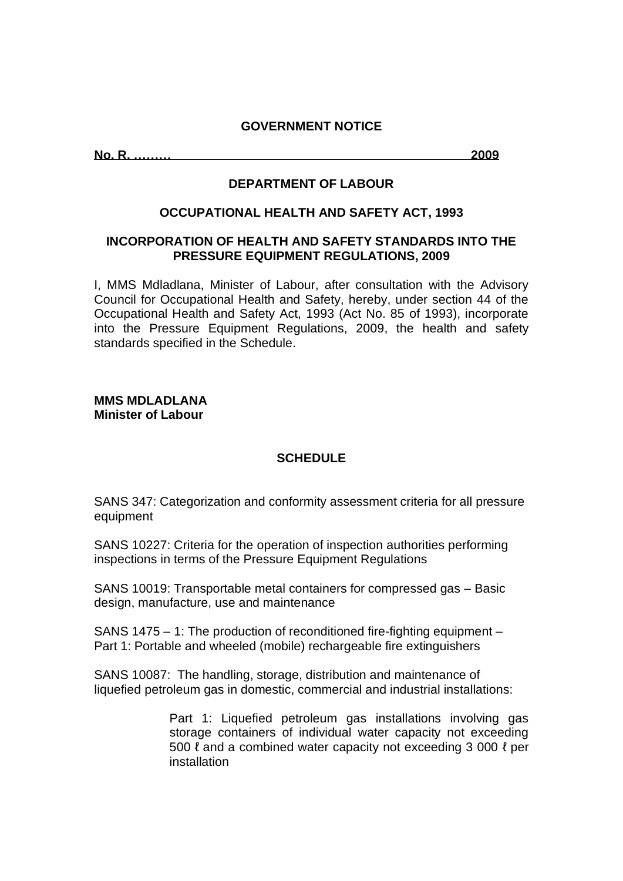#### **GOVERNMENT NOTICE**

**No. R. ……… 2009**

#### **DEPARTMENT OF LABOUR**

#### **OCCUPATIONAL HEALTH AND SAFETY ACT, 1993**

#### **INCORPORATION OF HEALTH AND SAFETY STANDARDS INTO THE PRESSURE EQUIPMENT REGULATIONS, 2009**

I, MMS Mdladlana, Minister of Labour, after consultation with the Advisory Council for Occupational Health and Safety, hereby, under section 44 of the Occupational Health and Safety Act, 1993 (Act No. 85 of 1993), incorporate into the Pressure Equipment Regulations, 2009, the health and safety standards specified in the Schedule.

#### **MMS MDLADLANA Minister of Labour**

### **SCHEDULE**

SANS 347: Categorization and conformity assessment criteria for all pressure equipment

SANS 10227: Criteria for the operation of inspection authorities performing inspections in terms of the Pressure Equipment Regulations

SANS 10019: Transportable metal containers for compressed gas – Basic design, manufacture, use and maintenance

SANS 1475 – 1: The production of reconditioned fire-fighting equipment – Part 1: Portable and wheeled (mobile) rechargeable fire extinguishers

SANS 10087: The handling, storage, distribution and maintenance of liquefied petroleum gas in domestic, commercial and industrial installations:

> Part 1: Liquefied petroleum gas installations involving gas storage containers of individual water capacity not exceeding 500 ℓ and a combined water capacity not exceeding 3 000 ℓ per installation